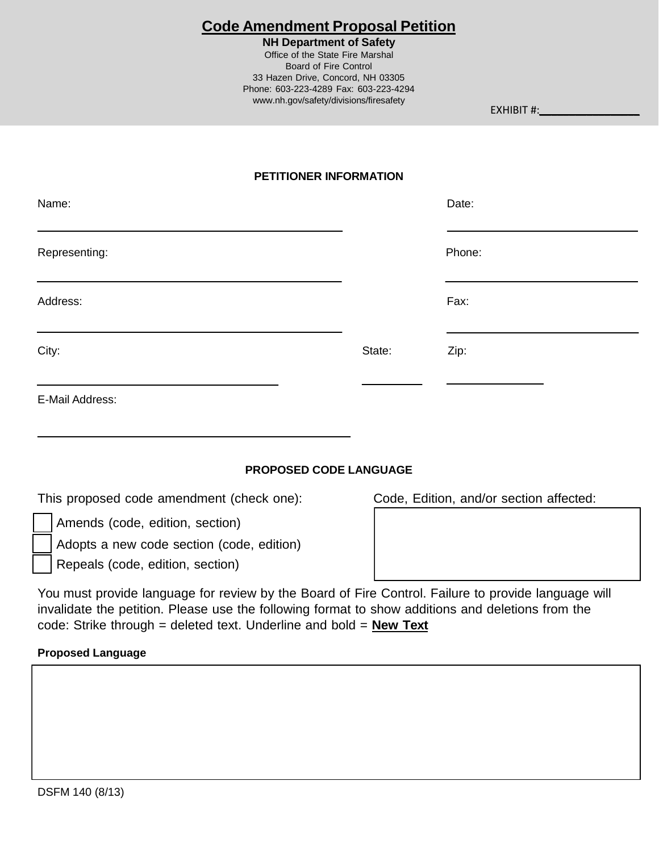# **Code Amendment Proposal Petition**

#### **NH Department of Safety**

Office of the State Fire Marshal Board of Fire Control 33 Hazen Drive, Concord, NH 03305 Phone: 603-223-4289 Fax: 603-223-4294 [www.nh.gov/safety/divisions/firesafety](http://www.nh.gov/safety/divisions/firesafety)

EXHIBIT #:

## **PETITIONER INFORMATION**

| Name:           |        | Date:  |
|-----------------|--------|--------|
| Representing:   |        | Phone: |
| Address:        |        | Fax:   |
| City:           | State: | Zip:   |
| E-Mail Address: |        |        |

## **PROPOSED CODE LANGUAGE**

| This proposed code amendment (check one): |  |  |
|-------------------------------------------|--|--|
|-------------------------------------------|--|--|

Code, Edition, and/or section affected:

- Amends (code, edition, section)
- Adopts a new code section (code, edition)
- Repeals (code, edition, section)

You must provide language for review by the Board of Fire Control. Failure to provide language will invalidate the petition. Please use the following format to show additions and deletions from the code: Strike through = deleted text. Underline and bold = **New Text**

#### **Proposed Language**